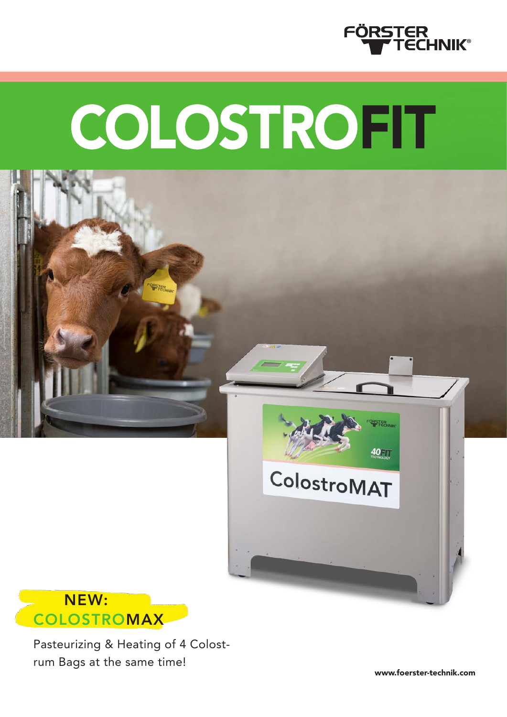

# COLOSTROFIT





Pasteurizing & Heating of 4 Colostrum Bags at the same time!

www.foerster-technik.com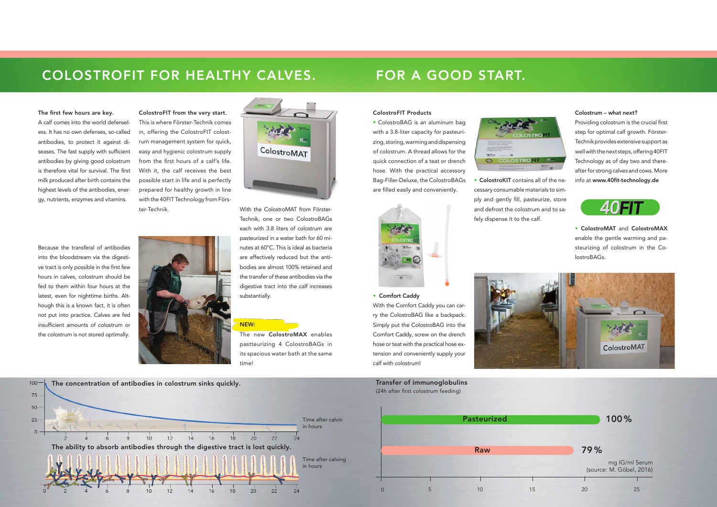## COLOSTROFIT FOR HEALTHY CALVES. FOR A GOOD START.

## ColostroFIT Products

• ColostroBAG is an aluminum bag with a 3.8-liter capacity for pasteurizing, storing, warming and dispensing of colostrum. A thread allows for the quick connection of a teat or drench hose. With the practical accessory Bag-Filler-Deluxe, the ColostroBAGs are filled easily and conveniently.



#### • Comfort Caddy

With the Comfort Caddy you can carry the ColostroBAG like a backpack. Simply put the ColostroBAG into the Comfort Caddy, screw on the drench hose or teat with the practical hose extension and conveniently supply your calf with colostrum!



• ColostroKIT contains all of the necessary consumable materials to simply and gently fill, pasteurize, store and defrost the colostrum and to sa-

fely dispense it to the calf.

COLOSTROFIT

### Colostrum – what next?

Providing colostrum is the crucial first step for optimal calf growth. Förster-Technik provides extensive support as well with the next steps, offering 40FIT Technology as of day two and thereafter for strong calves and cows. More info at www.40fit-technology.de



• ColostroMAT and ColostroMAX enable the gentle warming and pasteurizing of colostrum in the ColostroBAGs.

100 %

79 %

Transfer of immunoglobulins (24h after first colostrum feeding)



mg IG/ml Serum (source: M. Göbel, 2016)

#### The first few hours are key.

A calf comes into the world defenseless. It has no own defenses, so-called antibodies, to protect it against diseases. The fast supply with sufficient antibodies by giving good colostrum is therefore vital for survival. The first milk produced after birth contains the highest levels of the antibodies, energy, nutrients, enzymes and vitamins.

Because the transferal of antibodies into the bloodstream via the digestive tract is only possible in the first few hours in calves, colostrum should be fed to them within four hours at the latest, even for nighttime births. Although this is a known fact, it is often not put into practice. Calves are fed insufficient amounts of colostrum or the colostrum is not stored optimally.



ColostroFIT from the very start. This is where Förster-Technik comes in, offering the ColostroFIT colostrum management system for quick, easy and hygienic colostrum supply from the first hours of a calf's life. With it, the calf receives the best possible start in life and is perfectly prepared for healthy growth in line with the 40FIT Technology from Förster-Technik. With the ColostroMAT from Förster-



Technik, one or two ColostroBAGs each with 3.8 liters of colostrum are pasteurized in a water bath for 60 minutes at 60°C. This is ideal as bacteria are effectively reduced but the antibodies are almost 100% retained and the transfer of these antibodies via the digestive tract into the calf increases substantially.

#### NEW:

The new ColostroMAX enables pastteurizing 4 ColostroBAGs in its spacious water bath at the same time!



Time after calving

in hours